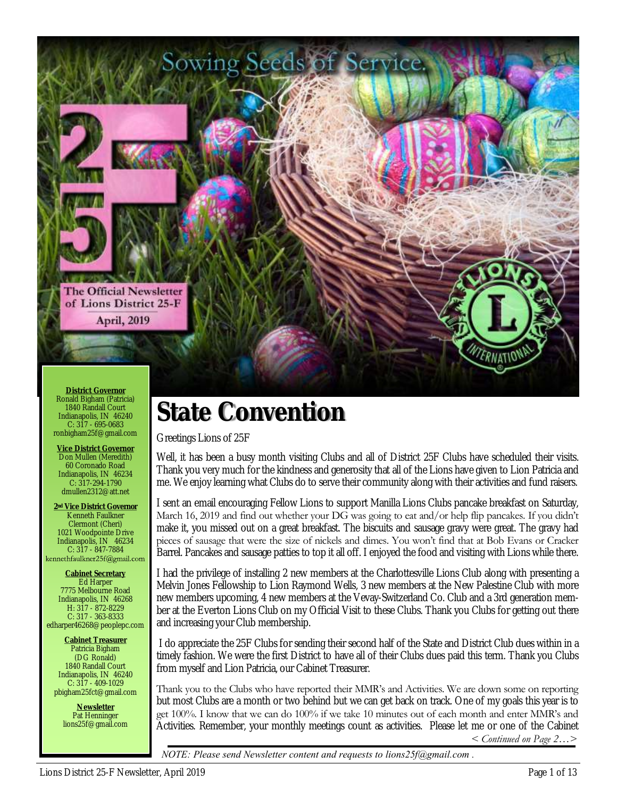

# **State Convention**

Greetings Lions of 25F

Well, it has been a busy month visiting Clubs and all of District 25F Clubs have scheduled their visits. Thank you very much for the kindness and generosity that all of the Lions have given to Lion Patricia and me. We enjoy learning what Clubs do to serve their community along with their activities and fund raisers.

I sent an email encouraging Fellow Lions to support Manilla Lions Clubs pancake breakfast on Saturday, March 16, 2019 and find out whether your DG was going to eat and/or help flip pancakes. If you didn't make it, you missed out on a great breakfast. The biscuits and sausage gravy were great. The gravy had pieces of sausage that were the size of nickels and dimes. You won't find that at Bob Evans or Cracker Barrel. Pancakes and sausage patties to top it all off. I enjoyed the food and visiting with Lions while there.

I had the privilege of installing 2 new members at the Charlottesville Lions Club along with presenting a Melvin Jones Fellowship to Lion Raymond Wells, 3 new members at the New Palestine Club with more new members upcoming, 4 new members at the Vevay-Switzerland Co. Club and a 3rd generation member at the Everton Lions Club on my Official Visit to these Clubs. Thank you Clubs for getting out there and increasing your Club membership.

I do appreciate the 25F Clubs for sending their second half of the State and District Club dues within in a timely fashion. We were the first District to have all of their Clubs dues paid this term. Thank you Clubs from myself and Lion Patricia, our Cabinet Treasurer.

Thank you to the Clubs who have reported their MMR's and Activities. We are down some on reporting but most Clubs are a month or two behind but we can get back on track. One of my goals this year is to get 100%. I know that we can do 100% if we take 10 minutes out of each month and enter MMR's and Activities. Remember, your monthly meetings count as activities. Please let me or one of the Cabinet *< Continued on Page 2…>* 

*NOTE: Please send Newsletter content and requests to lions25f@gmail.com .*

Ronald Bigham (Patricia) 1840 Randall Court Indianapolis, IN 46240 C: 317 - 695-0683 ronbigham25f@gmail.com

**Vice District Governor** Don Mullen (Meredith) 60 Coronado Road Indianapolis, IN 46234 C: 317-294-1790 dmullen2312@att.net

**2nd Vice District Governor** Kenneth Faulkner Clermont (Cheri) 1021 Woodpointe Drive Indianapolis, IN 46234  $C: 317 - 847 - 7884$ <br>kennethfaulkner25f@gmail.com

**Cabinet Secretary** Ed Harper 7775 Melbourne Road Indianapolis, IN 46268 H: 317 - 872-8229 C: 317 - 363-8333 edharper46268@peoplepc.com

**Cabinet Treasurer** Patricia Bigham (DG Ronald) 1840 Randall Court Indianapolis, IN 46240 C: 317 - 409-1029 pbigham25fct@gmail.com

> **Newsletter** Pat Henninger lions25f@gmail.com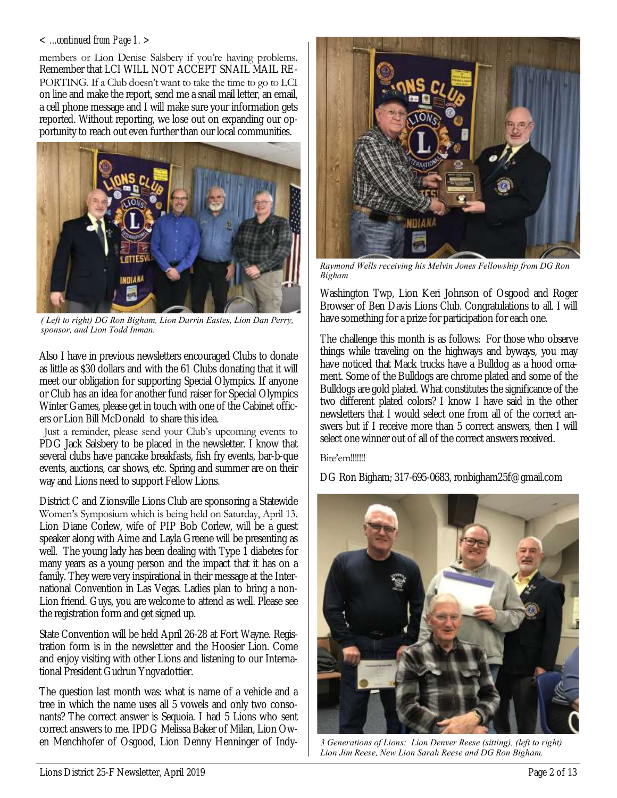#### *< ...continued from Page 1. >*

members or Lion Denise Salsbery if you're having problems. Remember that LCI WILL NOT ACCEPT SNAIL MAIL RE-PORTING. If a Club doesn't want to take the time to go to LCI on line and make the report, send me a snail mail letter, an email, a cell phone message and I will make sure your information gets reported. Without reporting, we lose out on expanding our opportunity to reach out even further than our local communities.



*( Left to right) DG Ron Bigham, Lion Darrin Eastes, Lion Dan Perry, sponsor, and Lion Todd Inman.*

Also I have in previous newsletters encouraged Clubs to donate as little as \$30 dollars and with the 61 Clubs donating that it will meet our obligation for supporting Special Olympics. If anyone or Club has an idea for another fund raiser for Special Olympics Winter Games, please get in touch with one of the Cabinet officers or Lion Bill McDonald to share this idea.

 Just a reminder, please send your Club's upcoming events to PDG Jack Salsbery to be placed in the newsletter. I know that several clubs have pancake breakfasts, fish fry events, bar-b-que events, auctions, car shows, etc. Spring and summer are on their way and Lions need to support Fellow Lions.

District C and Zionsville Lions Club are sponsoring a Statewide Women's Symposium which is being held on Saturday, April 13. Lion Diane Corlew, wife of PIP Bob Corlew, will be a guest speaker along with Aime and Layla Greene will be presenting as well. The young lady has been dealing with Type 1 diabetes for many years as a young person and the impact that it has on a family. They were very inspirational in their message at the International Convention in Las Vegas. Ladies plan to bring a non-Lion friend. Guys, you are welcome to attend as well. Please see the registration form and get signed up.

State Convention will be held April 26-28 at Fort Wayne. Registration form is in the newsletter and the Hoosier Lion. Come and enjoy visiting with other Lions and listening to our International President Gudrun Yngvadottier.

The question last month was: what is name of a vehicle and a tree in which the name uses all 5 vowels and only two consonants? The correct answer is Sequoia. I had 5 Lions who sent correct answers to me. IPDG Melissa Baker of Milan, Lion Owen Menchhofer of Osgood, Lion Denny Henninger of Indy-



*Raymond Wells receiving his Melvin Jones Fellowship from DG Ron Bigham* 

Washington Twp, Lion Keri Johnson of Osgood and Roger Browser of Ben Davis Lions Club. Congratulations to all. I will have something for a prize for participation for each one.

The challenge this month is as follows: For those who observe things while traveling on the highways and byways, you may have noticed that Mack trucks have a Bulldog as a hood ornament. Some of the Bulldogs are chrome plated and some of the Bulldogs are gold plated. What constitutes the significance of the two different plated colors? I know I have said in the other newsletters that I would select one from all of the correct answers but if I receive more than 5 correct answers, then I will select one winner out of all of the correct answers received.

#### Bite'em!!!!!!!

DG Ron Bigham; 317-695-0683, ronbigham25f@gmail.com



*3 Generations of Lions: Lion Denver Reese (sitting), (left to right) Lion Jim Reese, New Lion Sarah Reese and DG Ron Bigham.*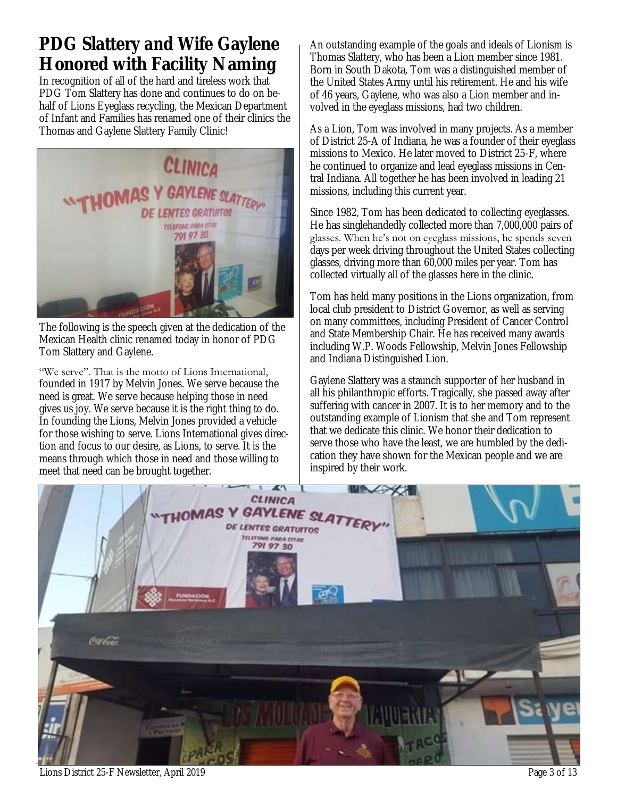# **PDG Slattery and Wife Gaylene Honored with Facility Naming**

In recognition of all of the hard and tireless work that PDG Tom Slattery has done and continues to do on behalf of Lions Eyeglass recycling, the Mexican Department of Infant and Families has renamed one of their clinics the Thomas and Gaylene Slattery Family Clinic!



The following is the speech given at the dedication of the Mexican Health clinic renamed today in honor of PDG Tom Slattery and Gaylene.

"We serve". That is the motto of Lions International, founded in 1917 by Melvin Jones. We serve because the need is great. We serve because helping those in need gives us joy. We serve because it is the right thing to do. In founding the Lions, Melvin Jones provided a vehicle for those wishing to serve. Lions International gives direction and focus to our desire, as Lions, to serve. It is the means through which those in need and those willing to meet that need can be brought together.

An outstanding example of the goals and ideals of Lionism is Thomas Slattery, who has been a Lion member since 1981. Born in South Dakota, Tom was a distinguished member of the United States Army until his retirement. He and his wife of 46 years, Gaylene, who was also a Lion member and involved in the eyeglass missions, had two children.

As a Lion, Tom was involved in many projects. As a member of District 25-A of Indiana, he was a founder of their eyeglass missions to Mexico. He later moved to District 25-F, where he continued to organize and lead eyeglass missions in Central Indiana. All together he has been involved in leading 21 missions, including this current year.

Since 1982, Tom has been dedicated to collecting eyeglasses. He has singlehandedly collected more than 7,000,000 pairs of glasses. When he's not on eyeglass missions, he spends seven days per week driving throughout the United States collecting glasses, driving more than 60,000 miles per year. Tom has collected virtually all of the glasses here in the clinic.

Tom has held many positions in the Lions organization, from local club president to District Governor, as well as serving on many committees, including President of Cancer Control and State Membership Chair. He has received many awards including W.P. Woods Fellowship, Melvin Jones Fellowship and Indiana Distinguished Lion.

Gaylene Slattery was a staunch supporter of her husband in all his philanthropic efforts. Tragically, she passed away after suffering with cancer in 2007. It is to her memory and to the outstanding example of Lionism that she and Tom represent that we dedicate this clinic. We honor their dedication to serve those who have the least, we are humbled by the dedication they have shown for the Mexican people and we are inspired by their work.

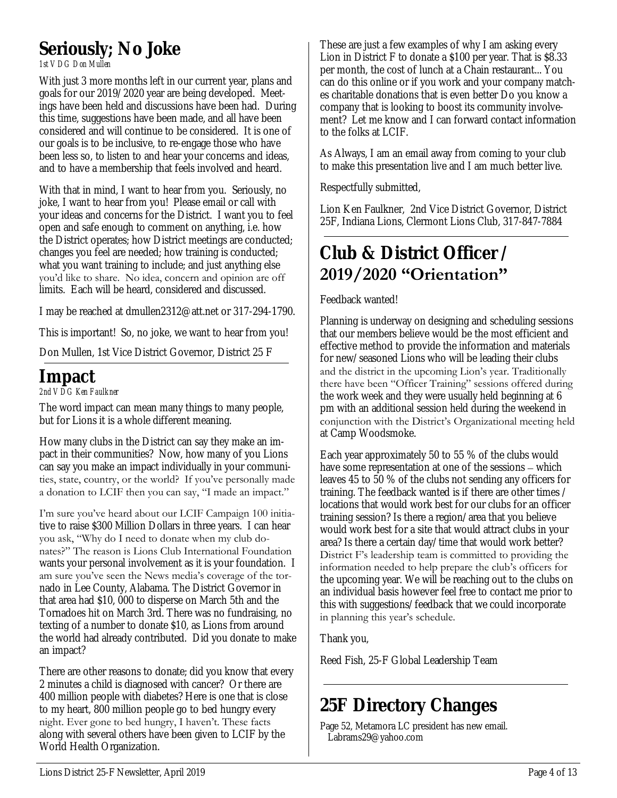# **Seriously; No Joke**

*1st VDG Don Mullen*

With just 3 more months left in our current year, plans and goals for our 2019/2020 year are being developed. Meetings have been held and discussions have been had. During this time, suggestions have been made, and all have been considered and will continue to be considered. It is one of our goals is to be inclusive, to re-engage those who have been less so, to listen to and hear your concerns and ideas, and to have a membership that feels involved and heard.

With that in mind, I want to hear from you. Seriously, no joke, I want to hear from you! Please email or call with your ideas and concerns for the District. I want you to feel open and safe enough to comment on anything, i.e. how the District operates; how District meetings are conducted; changes you feel are needed; how training is conducted; what you want training to include; and just anything else you'd like to share. No idea, concern and opinion are off limits. Each will be heard, considered and discussed.

I may be reached at dmullen2312@att.net or 317-294-1790.

This is important! So, no joke, we want to hear from you!

Don Mullen, 1st Vice District Governor, District 25 F

## **Impact**

*2nd VDG Ken Faulkner*

The word impact can mean many things to many people, but for Lions it is a whole different meaning.

How many clubs in the District can say they make an impact in their communities? Now, how many of you Lions can say you make an impact individually in your communities, state, country, or the world? If you've personally made a donation to LCIF then you can say, "I made an impact."

I'm sure you've heard about our LCIF Campaign 100 initiative to raise \$300 Million Dollars in three years. I can hear you ask, "Why do I need to donate when my club donates?" The reason is Lions Club International Foundation wants your personal involvement as it is your foundation. I am sure you've seen the News media's coverage of the tornado in Lee County, Alabama. The District Governor in that area had \$10, 000 to disperse on March 5th and the Tornadoes hit on March 3rd. There was no fundraising, no texting of a number to donate \$10, as Lions from around the world had already contributed. Did you donate to make an impact?

There are other reasons to donate; did you know that every 2 minutes a child is diagnosed with cancer? Or there are 400 million people with diabetes? Here is one that is close to my heart, 800 million people go to bed hungry every night. Ever gone to bed hungry, I haven't. These facts along with several others have been given to LCIF by the World Health Organization.

These are just a few examples of why I am asking every Lion in District F to donate a \$100 per year. That is \$8.33 per month, the cost of lunch at a Chain restaurant... You can do this online or if you work and your company matches charitable donations that is even better Do you know a company that is looking to boost its community involvement? Let me know and I can forward contact information to the folks at LCIF.

As Always, I am an email away from coming to your club to make this presentation live and I am much better live.

Respectfully submitted,

Lion Ken Faulkner, 2nd Vice District Governor, District 25F, Indiana Lions, Clermont Lions Club, 317-847-7884

## **Club & District Officer / 2019/2020 "Orientation"**

### Feedback wanted!

Planning is underway on designing and scheduling sessions that our members believe would be the most efficient and effective method to provide the information and materials for new/seasoned Lions who will be leading their clubs and the district in the upcoming Lion's year. Traditionally there have been "Officer Training" sessions offered during the work week and they were usually held beginning at 6 pm with an additional session held during the weekend in conjunction with the District's Organizational meeting held at Camp Woodsmoke.

Each year approximately 50 to 55 % of the clubs would have some representation at one of the sessions – which leaves 45 to 50 % of the clubs not sending any officers for training. The feedback wanted is if there are other times / locations that would work best for our clubs for an officer training session? Is there a region/area that you believe would work best for a site that would attract clubs in your area? Is there a certain day/time that would work better? District F's leadership team is committed to providing the information needed to help prepare the club's officers for the upcoming year. We will be reaching out to the clubs on an individual basis however feel free to contact me prior to this with suggestions/feedback that we could incorporate in planning this year's schedule.

Thank you,

Reed Fish, 25-F Global Leadership Team

# **25F Directory Changes**

Page 52, Metamora LC president has new email. Labrams29@yahoo.com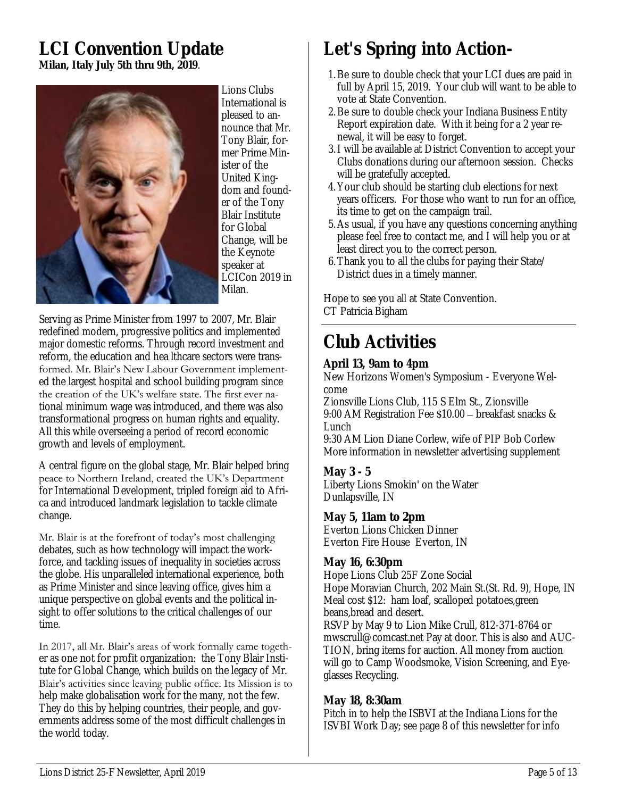### **LCI Convention Update Milan, Italy July 5th thru 9th, 2019**.



Lions Clubs International is pleased to announce that Mr. Tony Blair, former Prime Minister of the United Kingdom and founder of the Tony Blair Institute for Global Change, will be the Keynote speaker at LCICon 2019 in Milan.

Serving as Prime Minister from 1997 to 2007, Mr. Blair redefined modern, progressive politics and implemented major domestic reforms. Through record investment and reform, the education and hea lthcare sectors were transformed. Mr. Blair's New Labour Government implemented the largest hospital and school building program since the creation of the UK's welfare state. The first ever national minimum wage was introduced, and there was also transformational progress on human rights and equality. All this while overseeing a period of record economic growth and levels of employment.

A central figure on the global stage, Mr. Blair helped bring peace to Northern Ireland, created the UK's Department for International Development, tripled foreign aid to Africa and introduced landmark legislation to tackle climate change.

### Mr. Blair is at the forefront of today's most challenging

debates, such as how technology will impact the workforce, and tackling issues of inequality in societies across the globe. His unparalleled international experience, both as Prime Minister and since leaving office, gives him a unique perspective on global events and the political insight to offer solutions to the critical challenges of our time.

In 2017, all Mr. Blair's areas of work formally came together as one not for profit organization: the Tony Blair Institute for Global Change, which builds on the legacy of Mr. Blair's activities since leaving public office. Its Mission is to help make globalisation work for the many, not the few. They do this by helping countries, their people, and governments address some of the most difficult challenges in the world today.

# **Let's Spring into Action-**

- 1.Be sure to double check that your LCI dues are paid in full by April 15, 2019. Your club will want to be able to vote at State Convention.
- 2.Be sure to double check your Indiana Business Entity Report expiration date. With it being for a 2 year renewal, it will be easy to forget.
- 3.I will be available at District Convention to accept your Clubs donations during our afternoon session. Checks will be gratefully accepted.
- 4. Your club should be starting club elections for next years officers. For those who want to run for an office, its time to get on the campaign trail.
- 5.As usual, if you have any questions concerning anything please feel free to contact me, and I will help you or at least direct you to the correct person.
- 6.Thank you to all the clubs for paying their State/ District dues in a timely manner.

Hope to see you all at State Convention. CT Patricia Bigham

# **Club Activities**

**April 13, 9am to 4pm**

New Horizons Women's Symposium - Everyone Welcome

Zionsville Lions Club, 115 S Elm St., Zionsville 9:00 AM Registration Fee \$10.00 – breakfast snacks & Lunch

9:30 AM Lion Diane Corlew, wife of PIP Bob Corlew More information in newsletter advertising supplement

**May 3 - 5** Liberty Lions Smokin' on the Water Dunlapsville, IN

**May 5, 11am to 2pm** Everton Lions Chicken Dinner Everton Fire House Everton, IN

### **May 16, 6:30pm**

Hope Lions Club 25F Zone Social Hope Moravian Church, 202 Main St.(St. Rd. 9), Hope, IN Meal cost \$12: ham loaf, scalloped potatoes,green beans,bread and desert. RSVP by May 9 to Lion Mike Crull, 812-371-8764 or mwscrull@comcast.net Pay at door. This is also and AUC-TION, bring items for auction. All money from auction will go to Camp Woodsmoke, Vision Screening, and Eyeglasses Recycling.

# **May 18, 8:30am**

Pitch in to help the ISBVI at the Indiana Lions for the ISVBI Work Day; see page 8 of this newsletter for info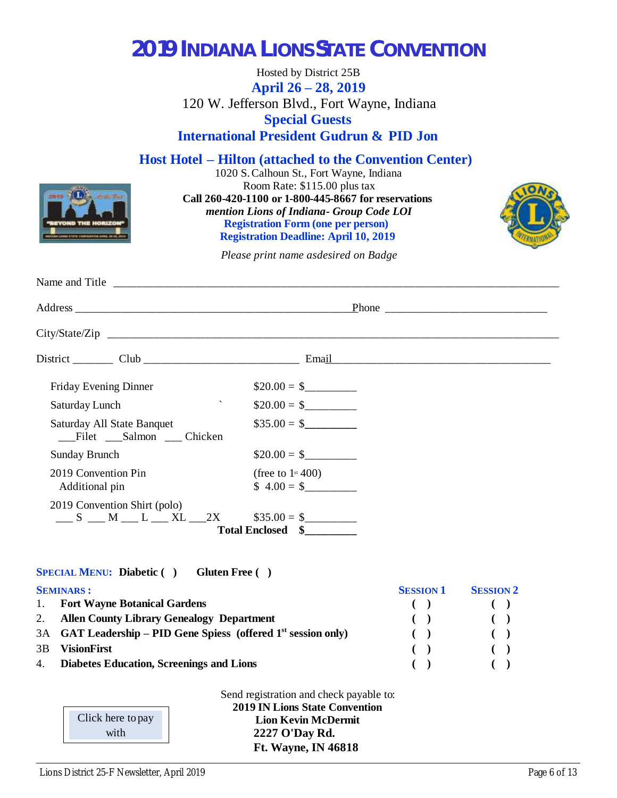# **2019 INDIANA LIONS STATE CONVENTION**

Hosted by District 25B **April 26 – 28, 2019** 120 W. Jefferson Blvd., Fort Wayne, Indiana **Special Guests International President Gudrun & PID Jon**

**Host Hotel – Hilton (attached to the Convention Center)**

1020 S. Calhoun St., Fort Wayne, Indiana Room Rate: \$115.00 plus tax **Call 260-420-1100 or 1-800-445-8667 for reservations**  *mention Lions of Indiana - Group Code LOI* **Registration Form (one per person) Registration Deadline: April 10, 2019**



*Please print name as desired on Badge*

| Friday Evening Dinner                                        | $$20.00 = $$                                   |
|--------------------------------------------------------------|------------------------------------------------|
| $\boldsymbol{\checkmark}$<br>Saturday Lunch                  | $\$20.00 = \$$                                 |
| Saturday All State Banquet<br>Filet Salmon Chicken           | $\$35.00 = \$$                                 |
| <b>Sunday Brunch</b>                                         | $\$20.00 = \$$                                 |
| 2019 Convention Pin<br>Additional pin                        | (free to $1$ <sup>st</sup> 400)<br>$$4.00 = $$ |
| 2019 Convention Shirt (polo)<br>$S$ M L L XL 2X $$35.00 = $$ | Total Enclosed \$                              |

### **SPECIAL MENU: Diabetic ( ) Gluten Free ( )**

|    | <b>SEMINARS:</b>                                                 | <b>SESSION 1</b> | <b>SESSION 2</b>       |
|----|------------------------------------------------------------------|------------------|------------------------|
|    | 1. Fort Wayne Botanical Gardens                                  |                  |                        |
|    | 2. Allen County Library Genealogy Department                     |                  | $\left( \quad \right)$ |
|    | 3A GAT Leadership – PID Gene Spiess (offered $1st$ session only) |                  |                        |
| 3B | <b>VisionFirst</b>                                               |                  |                        |
|    | 4. Diabetes Education, Screenings and Lions                      |                  |                        |

| Click here to pay<br>with |
|---------------------------|
|                           |

Send registration and check payable to: **2019 IN Lions State Convention Lion Kevin McDermit 2227 O'Day Rd. Ft. Wayne, IN 46818**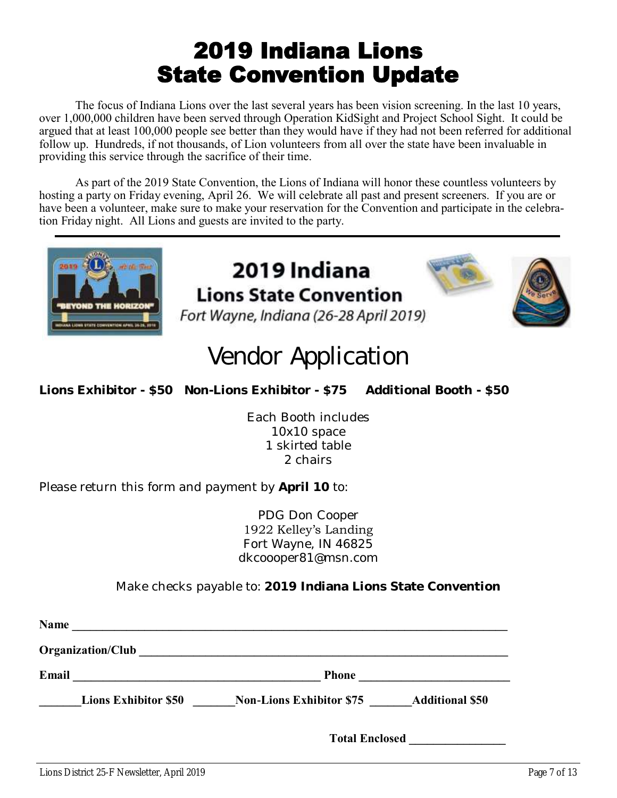# 2019 Indiana Lions State Convention Update

The focus of Indiana Lions over the last several years has been vision screening. In the last 10 years, over 1,000,000 children have been served through Operation KidSight and Project School Sight. It could be argued that at least 100,000 people see better than they would have if they had not been referred for additional follow up. Hundreds, if not thousands, of Lion volunteers from all over the state have been invaluable in providing this service through the sacrifice of their time.

As part of the 2019 State Convention, the Lions of Indiana will honor these countless volunteers by hosting a party on Friday evening, April 26. We will celebrate all past and present screeners. If you are or have been a volunteer, make sure to make your reservation for the Convention and participate in the celebration Friday night. All Lions and guests are invited to the party.



### 2019 Indiana **Lions State Convention** Fort Wayne, Indiana (26-28 April 2019)



# **Vendor Application**

**Lions Exhibitor - \$50 Non-Lions Exhibitor - \$75 Additional Booth - \$50**

Each Booth includes 10x10 space 1 skirted table 2 chairs

Please return this form and payment by **April 10** to:

PDG Don Cooper 1922 Kelley's Landing Fort Wayne, IN 46825 dkcoooper81@msn.com

Make checks payable to: **2019 Indiana Lions State Convention**

| <b>Name</b> |                             |                                 |                        |
|-------------|-----------------------------|---------------------------------|------------------------|
|             | Organization/Club           |                                 |                        |
| Email       |                             | <b>Phone</b>                    |                        |
|             | <b>Lions Exhibitor \$50</b> | <b>Non-Lions Exhibitor \$75</b> | <b>Additional \$50</b> |
|             |                             | <b>Total Enclosed</b>           |                        |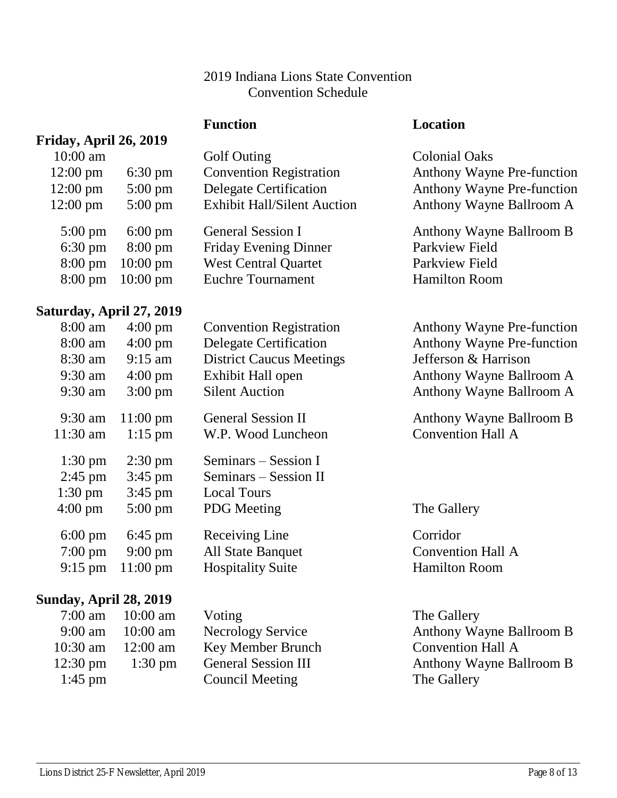### 2019 Indiana Lions State Convention Convention Schedule

### **Function Location**

## **Friday, April 26, 2019**

| $10:00$ am         |                            | Golf Outing                        | <b>Colonial Oaks</b>              |
|--------------------|----------------------------|------------------------------------|-----------------------------------|
| $12:00 \text{ pm}$ | $6:30 \text{ pm}$          | <b>Convention Registration</b>     | <b>Anthony Wayne Pre-function</b> |
| $12:00 \text{ pm}$ | $5:00 \text{ pm}$          | Delegate Certification             | <b>Anthony Wayne Pre-function</b> |
| $12:00 \text{ pm}$ | $5:00 \text{ pm}$          | <b>Exhibit Hall/Silent Auction</b> | Anthony Wayne Ballroom A          |
| $5:00 \text{ pm}$  | $6:00 \text{ pm}$          | <b>General Session I</b>           | Anthony Wayne Ballroom B          |
| $6:30 \text{ pm}$  | $8:00 \text{ pm}$          | Friday Evening Dinner              | Parkview Field                    |
| $8:00 \text{ pm}$  | $10:00 \text{ pm}$         | <b>West Central Quartet</b>        | Parkview Field                    |
|                    |                            |                                    |                                   |
|                    | $8:00 \text{ pm}$ 10:00 pm | <b>Euchre Tournament</b>           | <b>Hamilton Room</b>              |

### **Saturday, April 27, 2019**

| $8:00 \text{ am}$ | $4:00 \text{ pm}$             | <b>Convention Registration</b>  | <b>Anthony Wayne Pre-function</b> |
|-------------------|-------------------------------|---------------------------------|-----------------------------------|
| $8:00 \text{ am}$ | $4:00 \text{ pm}$             | <b>Delegate Certification</b>   | <b>Anthony Wayne Pre-function</b> |
| $8:30$ am         | $9:15$ am                     | <b>District Caucus Meetings</b> | Jefferson & Harrison              |
| $9:30$ am         | $4:00 \text{ pm}$             | Exhibit Hall open               | Anthony Wayne Ballroom A          |
| $9:30$ am         | $3:00 \text{ pm}$             | <b>Silent Auction</b>           | Anthony Wayne Ballroom A          |
| $9:30$ am         | $11:00 \text{ pm}$            | <b>General Session II</b>       | Anthony Wayne Ballroom B          |
| $11:30$ am        | $1:15$ pm                     | W.P. Wood Luncheon              | <b>Convention Hall A</b>          |
| $1:30 \text{ pm}$ | $2:30 \text{ pm}$             | Seminars – Session I            |                                   |
| $2:45$ pm         | $3:45$ pm                     | Seminars – Session II           |                                   |
| $1:30 \text{ pm}$ | $3:45$ pm                     | <b>Local Tours</b>              |                                   |
| $4:00 \text{ pm}$ | $5:00 \text{ pm}$             | <b>PDG</b> Meeting              | The Gallery                       |
| $6:00 \text{ pm}$ | $6:45 \text{ pm}$             | Receiving Line                  | Corridor                          |
| $7:00 \text{ pm}$ | $9:00 \text{ pm}$             | <b>All State Banquet</b>        | <b>Convention Hall A</b>          |
| $9:15 \text{ pm}$ | $11:00 \text{ pm}$            | <b>Hospitality Suite</b>        | <b>Hamilton Room</b>              |
| $\blacksquare$    | $\mathbf{H}$ and $\mathbf{A}$ |                                 |                                   |

### **Sunday, April 28, 2019**

| $7:00 \text{ am}$  | $10:00$ am        |
|--------------------|-------------------|
| $9:00 \text{ am}$  | $10:00$ am        |
| $10:30$ am         | $12:00$ am        |
| $12:30 \text{ pm}$ | $1:30 \text{ pm}$ |
| $1:45$ pm          |                   |

Voting The Gallery Key Member Brunch Convention Hall A **11:45 Council Meeting The Gallery** 

Necrology Service Anthony Wayne Ballroom B 12:30 General Session III **Anthony Wayne Ballroom B**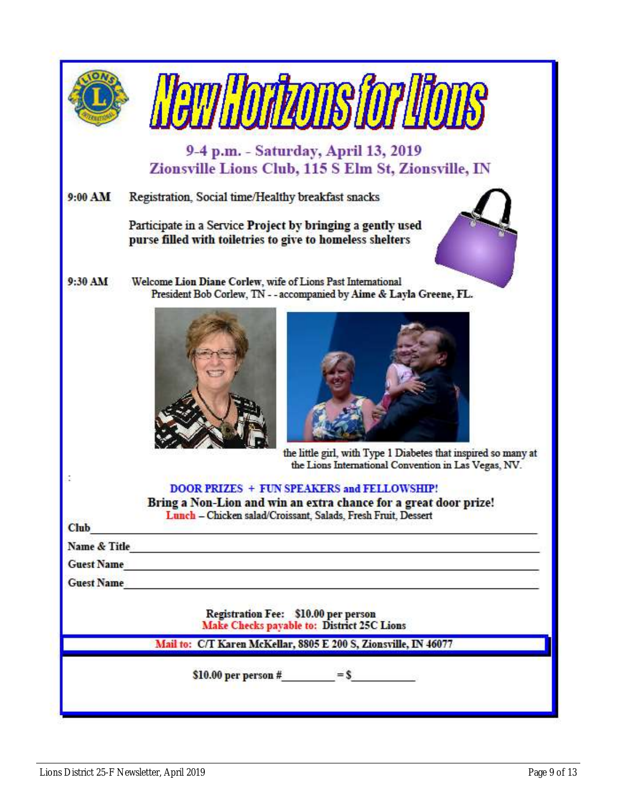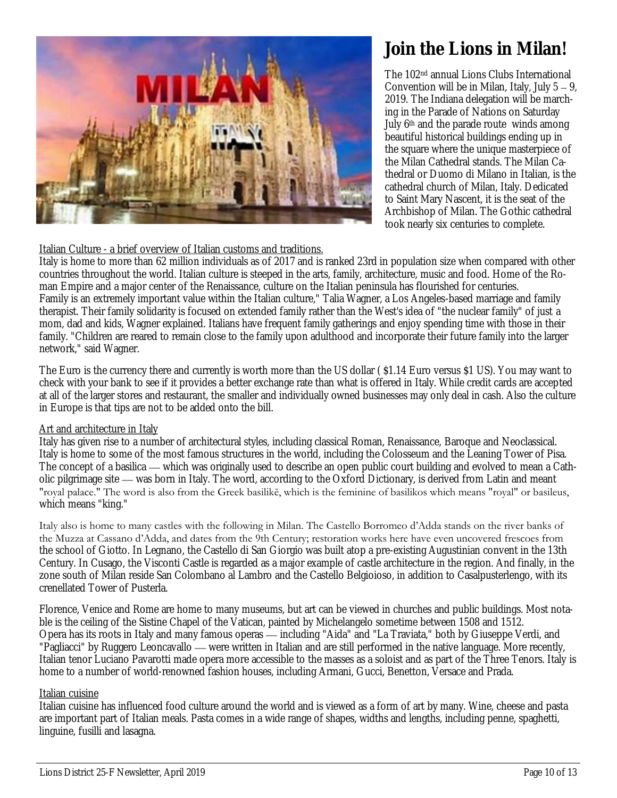

# **Join the Lions in Milan!**

The 102nd annual Lions Clubs International Convention will be in Milan, Italy, July 5 – 9, 2019. The Indiana delegation will be marching in the Parade of Nations on Saturday July 6<sup>th</sup> and the parade route winds among beautiful historical buildings ending up in the square where the unique masterpiece of the Milan Cathedral stands. The Milan Cathedral or Duomo di Milano in Italian, is the cathedral church of Milan, Italy. Dedicated to Saint Mary Nascent, it is the seat of the Archbishop of Milan. The Gothic cathedral took nearly six centuries to complete.

### Italian Culture - a brief overview of Italian customs and traditions.

Italy is home to more than 62 million individuals as of 2017 and is ranked 23rd in population size when compared with other countries throughout the world. Italian culture is steeped in the arts, family, architecture, music and food. Home of the Roman Empire and a major center of the Renaissance, culture on the Italian peninsula has flourished for centuries. Family is an extremely important value within the Italian culture," Talia Wagner, a Los Angeles-based marriage and family therapist. Their family solidarity is focused on extended family rather than the West's idea of "the nuclear family" of just a mom, dad and kids, Wagner explained. Italians have frequent family gatherings and enjoy spending time with those in their family. "Children are reared to remain close to the family upon adulthood and incorporate their future family into the larger network," said Wagner.

The Euro is the currency there and currently is worth more than the US dollar ( \$1.14 Euro versus \$1 US). You may want to check with your bank to see if it provides a better exchange rate than what is offered in Italy. While credit cards are accepted at all of the larger stores and restaurant, the smaller and individually owned businesses may only deal in cash. Also the culture in Europe is that tips are not to be added onto the bill.

### Art and architecture in Italy

Italy has given rise to a number of architectural styles, including classical Roman, Renaissance, Baroque and Neoclassical. Italy is home to some of the most famous structures in the world, including the Colosseum and the Leaning Tower of Pisa. The concept of a basilica — which was originally used to describe an open public court building and evolved to mean a Catholic pilgrimage site — was born in Italy. The word, according to the Oxford Dictionary, is derived from Latin and meant "royal palace." The word is also from the Greek basilikē, which is the feminine of basilikos which means "royal" or basileus, which means "king."

Italy also is home to many castles with the following in Milan. The Castello Borromeo d'Adda stands on the river banks of the Muzza at Cassano d'Adda, and dates from the 9th Century; restoration works here have even uncovered frescoes from the school of Giotto. In Legnano, the Castello di San Giorgio was built atop a pre-existing Augustinian convent in the 13th Century. In Cusago, the Visconti Castle is regarded as a major example of castle architecture in the region. And finally, in the zone south of Milan reside San Colombano al Lambro and the Castello Belgioioso, in addition to Casalpusterlengo, with its crenellated Tower of Pusterla.

Florence, Venice and Rome are home to many museums, but art can be viewed in churches and public buildings. Most notable is the ceiling of the Sistine Chapel of the Vatican, painted by Michelangelo sometime between 1508 and 1512. Opera has its roots in Italy and many famous operas — including "Aida" and "La Traviata," both by Giuseppe Verdi, and "Pagliacci" by Ruggero Leoncavallo — were written in Italian and are still performed in the native language. More recently, Italian tenor Luciano Pavarotti made opera more accessible to the masses as a soloist and as part of the Three Tenors. Italy is home to a number of world-renowned fashion houses, including Armani, Gucci, Benetton, Versace and Prada.

### Italian cuisine

Italian cuisine has influenced food culture around the world and is viewed as a form of art by many. Wine, cheese and pasta are important part of Italian meals. Pasta comes in a wide range of shapes, widths and lengths, including penne, spaghetti, linguine, fusilli and lasagna.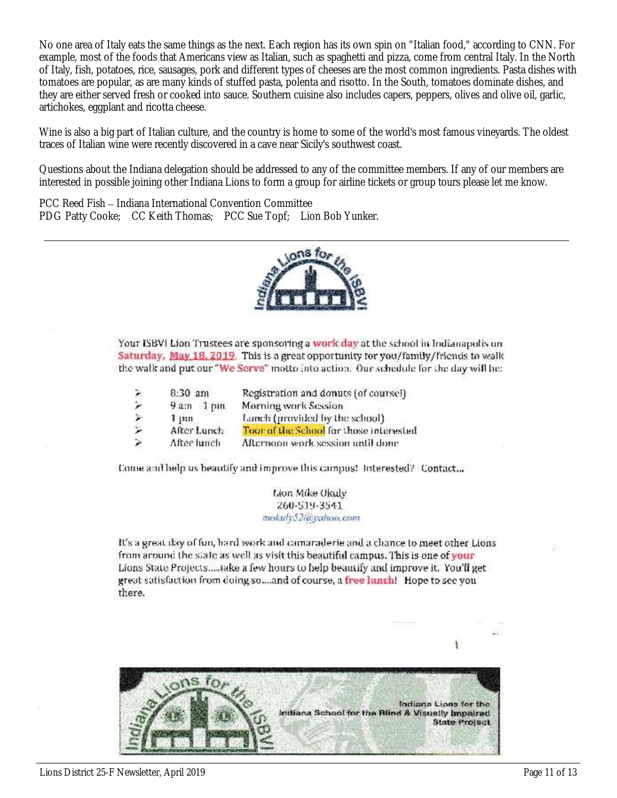No one area of Italy eats the same things as the next. Each region has its own spin on "Italian food," according to CNN. For example, most of the foods that Americans view as Italian, such as spaghetti and pizza, come from central Italy. In the North of Italy, fish, potatoes, rice, sausages, pork and different types of cheeses are the most common ingredients. Pasta dishes with tomatoes are popular, as are many kinds of stuffed pasta, polenta and risotto. In the South, tomatoes dominate dishes, and they are either served fresh or cooked into sauce. Southern cuisine also includes capers, peppers, olives and olive oil, garlic, artichokes, eggplant and ricotta cheese.

Wine is also a big part of Italian culture, and the country is home to some of the world's most famous vineyards. The oldest traces of Italian wine were recently discovered in a cave near Sicily's southwest coast.

Questions about the Indiana delegation should be addressed to any of the committee members. If any of our members are interested in possible joining other Indiana Lions to form a group for airline tickets or group tours please let me know.

PCC Reed Fish – Indiana International Convention Committee PDG Patty Cooke; CC Keith Thomas; PCC Sue Topf; Lion Bob Yunker.



Your ISBVI Lion Trustees are sponsoring a work day at the school in Indianapolis on Saturday, May 18, 2019. This is a great opportunity for you/family/friends to walk the walk and put our "We Serve" motto into action. Our schedule for the day will be:

| k | $8:30$ am   | Registration and donuts (of coursel)    |
|---|-------------|-----------------------------------------|
| ۶ | $9am$ 1 pm  | Morning work Session                    |
|   | 1, m        | Lanch (provided by the school)          |
| ۳ | After Lunch | Tour of the School for those interested |
| × | After lunch | Afternoon work session until done       |

Come and help us beautify and improve this campus! Interested? Contact...

Lion Mike Okuly 260-519-3541 mokuly52@yahoo.com

It's a great day of fun, hard work and camaraderie and a chance to meet other Lions from around the state as well as visit this beautiful campus. This is one of your Lions State Projects.....take a few hours to help beautify and improve it. You'll get great satisfaction from doing so...and of course, a free lunch! Hope to see you there.

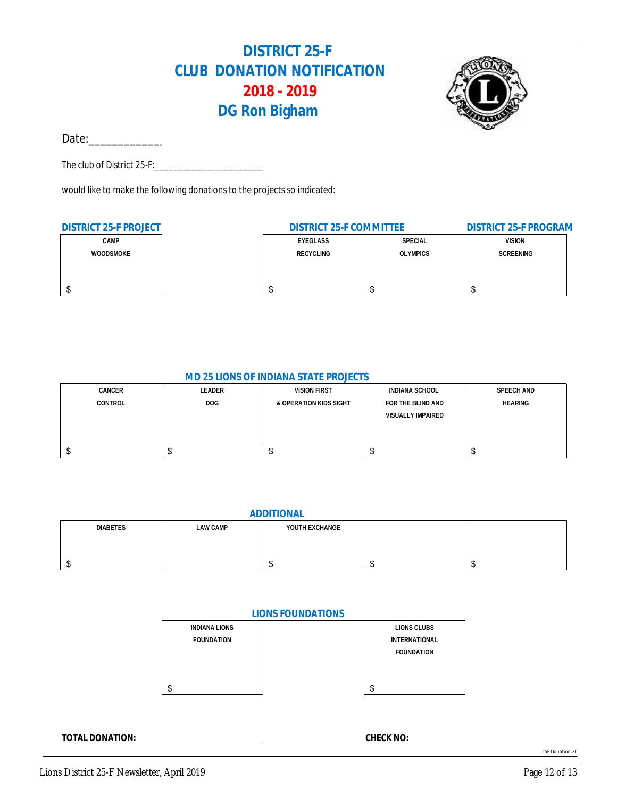### **DISTRICT 25-F CLUB DONATION NOTIFICATION 2018 - 2019 DG Ron Bigham**



 $Date:$ 

The club of District 25-F:

would like to make the following donations to the projects so indicated:

| DISTRICT 25-F PROJECT | DISTRICT 25-F COMMITTEE |                 | DISTRICT 25-F PROGRAM |
|-----------------------|-------------------------|-----------------|-----------------------|
| <b>CAMP</b>           | EYEGLASS                | SPECIAL         | <b>VISION</b>         |
| <b>WOODSMOKE</b>      | RECYCLING               | <b>OLYMPICS</b> | SCREENING             |
|                       |                         |                 |                       |
|                       |                         |                 |                       |
|                       |                         |                 |                       |

#### **MD 25 LIONS OF INDIANA STATE PROJECTS**

| CANCER  | LEADER | <b>VISION FIRST</b>    | INDIANA SCHOOL    | SPEECH AND     |
|---------|--------|------------------------|-------------------|----------------|
| CONTROL | DOG.   | & OPERATION KIDS SIGHT | FOR THE BLIND AND | <b>HEARING</b> |
|         |        |                        | VISUALLY IMPAIRED |                |
|         |        |                        |                   |                |
|         |        |                        |                   |                |
|         |        |                        |                   |                |

| ADDITIONAL      |          |                |  |  |
|-----------------|----------|----------------|--|--|
| <b>DIABETES</b> | LAW CAMP | YOUTH EXCHANGE |  |  |
|                 |          |                |  |  |
|                 |          |                |  |  |
|                 |          |                |  |  |

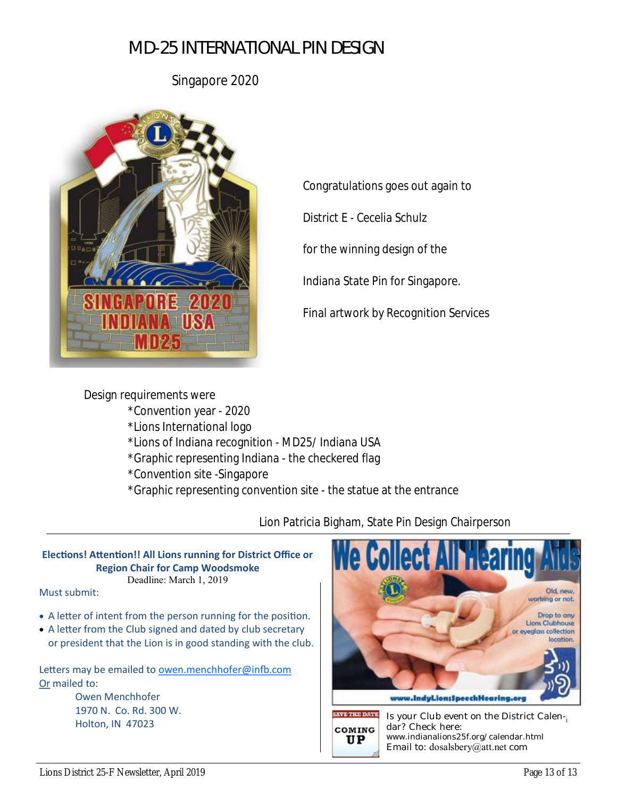Singapore 2020



Congratulations goes out again to

District E - Cecelia Schulz

for the winning design of the

Indiana State Pin for Singapore.

Final artwork by Recognition Services

Design requirements were \*Convention year - 2020 \*Lions International logo \*Lions of Indiana recognition - MD25/ Indiana USA \*Graphic representing Indiana - the checkered flag \*Convention site -Singapore \*Graphic representing convention site - the statue at the entrance

Lion Patricia Bigham, State Pin Design Chairperson

#### **Elections! Attention!! All Lions running for District Office or Region Chair for Camp Woodsmoke** Deadline: March 1, 2019

Must submit:

- A letter of intent from the person running for the position.
- A letter from the Club signed and dated by club secretary or president that the Lion is in good standing with the club.

Letters may be emailed to [owen.menchhofer@infb.com](mailto:owen.menchhofer@infb.com) Or mailed to:

> Owen Menchhofer 1970 N. Co. Rd. 300 W.